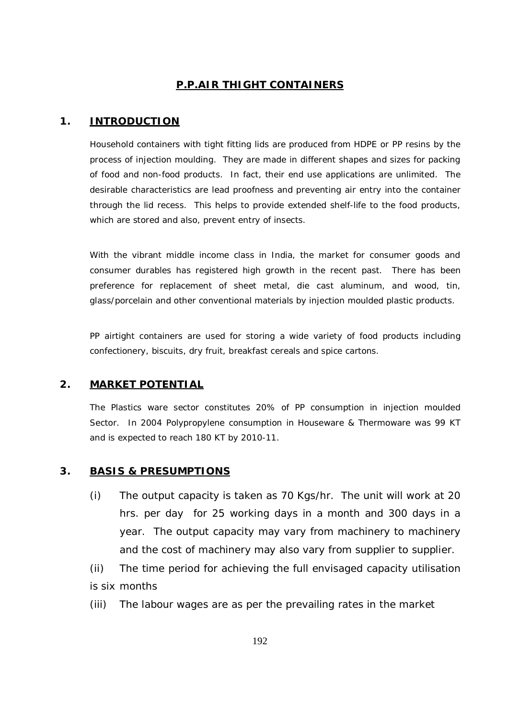### **P.P.AIR THIGHT CONTAINERS**

#### **1. INTRODUCTION**

Household containers with tight fitting lids are produced from HDPE or PP resins by the process of injection moulding. They are made in different shapes and sizes for packing of food and non-food products. In fact, their end use applications are unlimited. The desirable characteristics are lead proofness and preventing air entry into the container through the lid recess. This helps to provide extended shelf-life to the food products, which are stored and also, prevent entry of insects.

With the vibrant middle income class in India, the market for consumer goods and consumer durables has registered high growth in the recent past. There has been preference for replacement of sheet metal, die cast aluminum, and wood, tin, glass/porcelain and other conventional materials by injection moulded plastic products.

PP airtight containers are used for storing a wide variety of food products including confectionery, biscuits, dry fruit, breakfast cereals and spice cartons.

### **2. MARKET POTENTIAL**

The Plastics ware sector constitutes 20% of PP consumption in injection moulded Sector. In 2004 Polypropylene consumption in Houseware & Thermoware was 99 KT and is expected to reach 180 KT by 2010-11.

### **3. BASIS & PRESUMPTIONS**

(i) The output capacity is taken as 70 Kgs/hr. The unit will work at 20 hrs. per day for 25 working days in a month and 300 days in a year. The output capacity may vary from machinery to machinery and the cost of machinery may also vary from supplier to supplier.

(ii) The time period for achieving the full envisaged capacity utilisation is six months

(iii) The labour wages are as per the prevailing rates in the market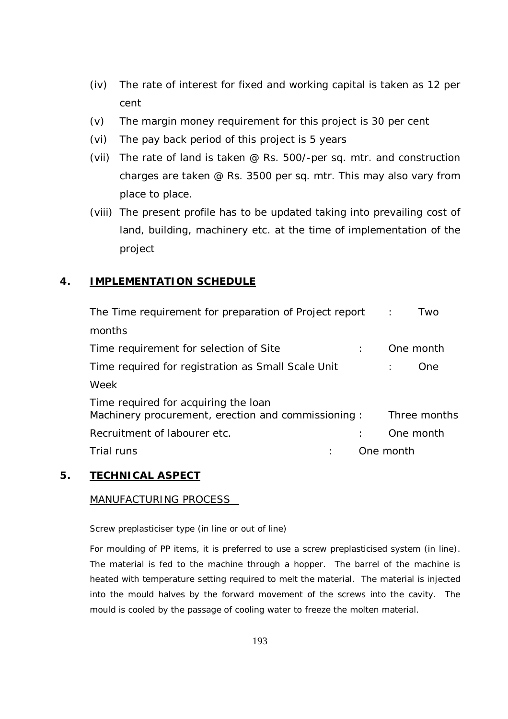- (iv) The rate of interest for fixed and working capital is taken as 12 per cent
- (v) The margin money requirement for this project is 30 per cent
- (vi) The pay back period of this project is 5 years
- (vii) The rate of land is taken @ Rs. 500/-per sq. mtr. and construction charges are taken @ Rs. 3500 per sq. mtr. This may also vary from place to place.
- (viii) The present profile has to be updated taking into prevailing cost of land, building, machinery etc. at the time of implementation of the project

### **4. IMPLEMENTATION SCHEDULE**

| The Time requirement for preparation of Project report                                      | Two<br>$\sim 10^7$           |
|---------------------------------------------------------------------------------------------|------------------------------|
| months                                                                                      |                              |
| Time requirement for selection of Site                                                      | One month                    |
| Time required for registration as Small Scale Unit                                          | One.<br>$\ddot{\phantom{a}}$ |
| Week                                                                                        |                              |
| Time required for acquiring the loan<br>Machinery procurement, erection and commissioning : | Three months                 |
| Recruitment of labourer etc.                                                                | One month                    |
| Trial runs                                                                                  | One month                    |

#### **5. TECHNICAL ASPECT**

#### MANUFACTURING PROCESS

Screw preplasticiser type (in line or out of line)

For moulding of PP items, it is preferred to use a screw preplasticised system (in line). The material is fed to the machine through a hopper. The barrel of the machine is heated with temperature setting required to melt the material. The material is injected into the mould halves by the forward movement of the screws into the cavity. The mould is cooled by the passage of cooling water to freeze the molten material.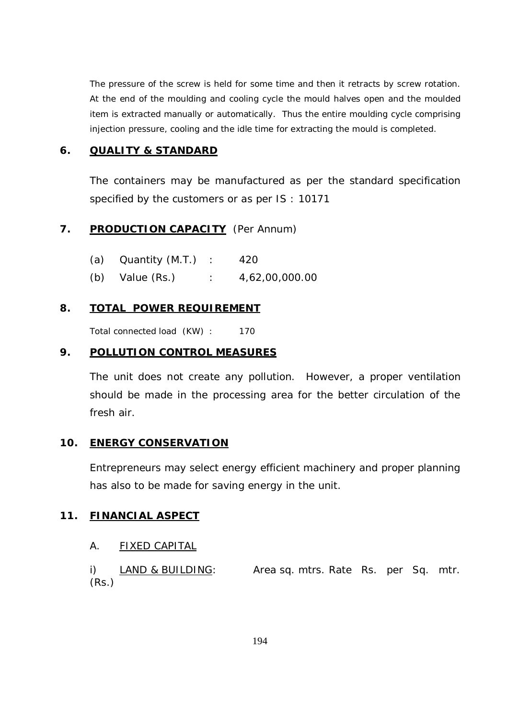The pressure of the screw is held for some time and then it retracts by screw rotation. At the end of the moulding and cooling cycle the mould halves open and the moulded item is extracted manually or automatically. Thus the entire moulding cycle comprising injection pressure, cooling and the idle time for extracting the mould is completed.

#### **6. QUALITY & STANDARD**

The containers may be manufactured as per the standard specification specified by the customers or as per IS : 10171

### 7. **PRODUCTION CAPACITY** (Per Annum)

| (a) Quantity (M.T.) | 420 |  |
|---------------------|-----|--|
|                     |     |  |

(b) Value (Rs.) : 4,62,00,000.00

### **8. TOTAL POWER REQUIREMENT**

Total connected load (KW) : 170

### **9. POLLUTION CONTROL MEASURES**

The unit does not create any pollution. However, a proper ventilation should be made in the processing area for the better circulation of the fresh air.

#### **10. ENERGY CONSERVATION**

Entrepreneurs may select energy efficient machinery and proper planning has also to be made for saving energy in the unit.

#### **11. FINANCIAL ASPECT**

#### A. FIXED CAPITAL

i) LAND & BUILDING: Area sq. mtrs. Rate Rs. per Sq. mtr. (Rs.)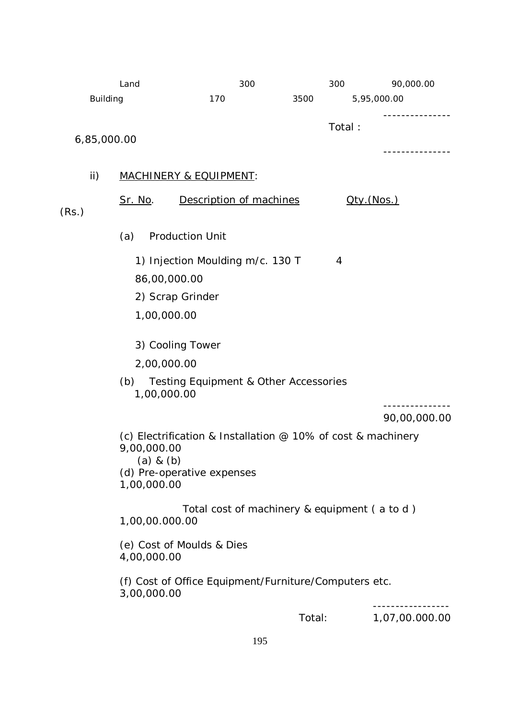|                 | Land                                                             | 300                                                                                                                          | 300    |                     | 90,000.00      |
|-----------------|------------------------------------------------------------------|------------------------------------------------------------------------------------------------------------------------------|--------|---------------------|----------------|
| <b>Building</b> |                                                                  | 170                                                                                                                          | 3500   | 5,95,000.00         |                |
| 6,85,000.00     |                                                                  |                                                                                                                              |        | Total:              | -----------    |
| ii)             |                                                                  | <b>MACHINERY &amp; EQUIPMENT:</b>                                                                                            |        |                     |                |
| (Rs.)           | <u>Sr. No.</u>                                                   | Description of machines                                                                                                      |        | <u> Qty. (Nos.)</u> |                |
|                 | (a)                                                              | <b>Production Unit</b>                                                                                                       |        |                     |                |
|                 | 86,00,000.00<br>1,00,000.00<br>2,00,000.00<br>(b)<br>1,00,000.00 | 1) Injection Moulding m/c. 130 T<br>2) Scrap Grinder<br>3) Cooling Tower<br><b>Testing Equipment &amp; Other Accessories</b> |        | 4                   |                |
|                 |                                                                  |                                                                                                                              |        |                     | 90,00,000.00   |
|                 | 9,00,000.00<br>$(a)$ & $(b)$<br>1,00,000.00                      | (c) Electrification & Installation $@$ 10% of cost & machinery<br>(d) Pre-operative expenses                                 |        |                     |                |
|                 | 1,00,00.000.00                                                   | Total cost of machinery & equipment (a to d)                                                                                 |        |                     |                |
|                 | 4,00,000.00                                                      | (e) Cost of Moulds & Dies                                                                                                    |        |                     |                |
|                 | 3,00,000.00                                                      | (f) Cost of Office Equipment/Furniture/Computers etc.                                                                        |        |                     |                |
|                 |                                                                  |                                                                                                                              | Total: |                     | 1,07,00.000.00 |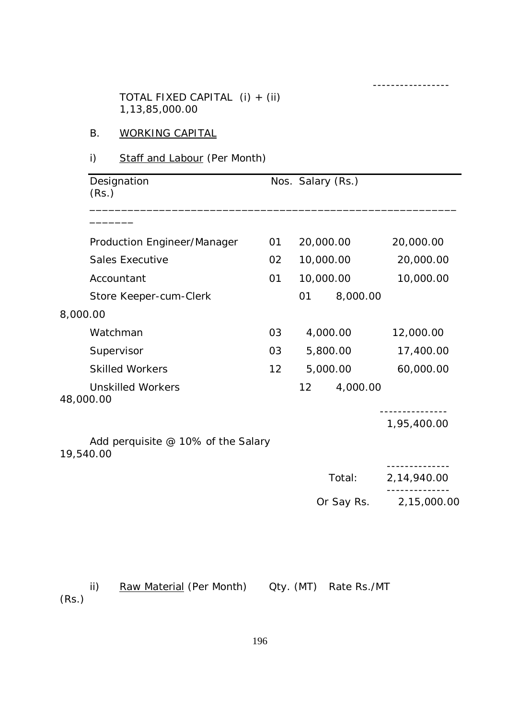TOTAL FIXED CAPITAL (i) + (ii) 1,13,85,000.00

# B. WORKING CAPITAL

# i) Staff and Labour (Per Month)

| Designation<br>(Rs.)                            |    |           | Nos. Salary (Rs.) |             |
|-------------------------------------------------|----|-----------|-------------------|-------------|
|                                                 |    |           |                   |             |
| Production Engineer/Manager                     | 01 |           | 20,000.00         | 20,000.00   |
| <b>Sales Executive</b>                          | 02 |           | 10,000.00         | 20,000.00   |
| Accountant                                      | 01 |           | 10,000.00         | 10,000.00   |
| Store Keeper-cum-Clerk                          |    | 01        | 8,000.00          |             |
| 8,000.00                                        |    |           |                   |             |
| Watchman                                        | 03 |           | 4,000.00          | 12,000.00   |
| Supervisor                                      | 03 |           | 5,800.00          | 17,400.00   |
| <b>Skilled Workers</b>                          | 12 | 5,000.00  |                   | 60,000.00   |
| <b>Unskilled Workers</b><br>48,000.00           |    | 12        | 4,000.00          |             |
|                                                 |    |           |                   | 1,95,400.00 |
| Add perquisite @ 10% of the Salary<br>19,540.00 |    |           |                   |             |
|                                                 |    |           | Total:            | 2,14,940.00 |
|                                                 |    |           | Or Say Rs.        | 2,15,000.00 |
|                                                 |    |           |                   |             |
|                                                 |    |           |                   |             |
| ii)<br>Raw Material (Per Month)<br>(Rs.)        |    | Qty. (MT) | Rate Rs./MT       |             |

-----------------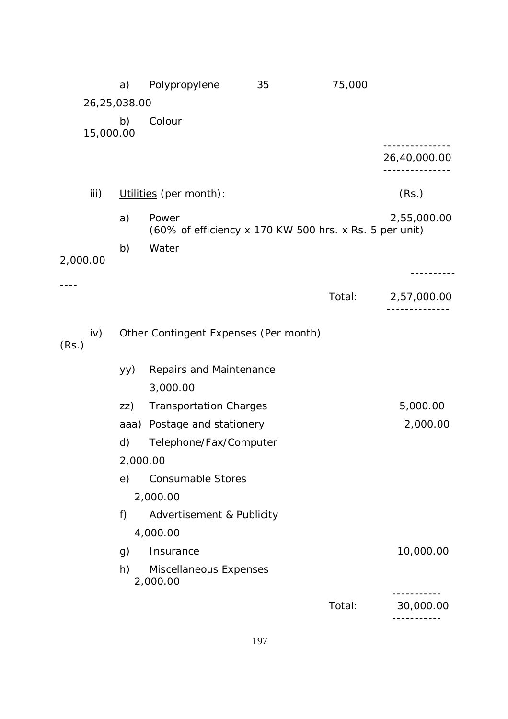|              | a)       | Polypropylene                                                   | 35 | 75,000 |              |  |
|--------------|----------|-----------------------------------------------------------------|----|--------|--------------|--|
| 26,25,038.00 |          |                                                                 |    |        |              |  |
| 15,000.00    | b)       | Colour                                                          |    |        |              |  |
|              |          |                                                                 |    |        |              |  |
|              |          |                                                                 |    |        | 26,40,000.00 |  |
|              |          |                                                                 |    |        |              |  |
| iii)         |          | Utilities (per month):                                          |    |        | (Rs.)        |  |
|              | a)       | Power<br>(60% of efficiency x 170 KW 500 hrs. x Rs. 5 per unit) |    |        | 2,55,000.00  |  |
|              | b)       | Water                                                           |    |        |              |  |
| 2,000.00     |          |                                                                 |    |        | -------      |  |
|              |          |                                                                 |    | Total: | 2,57,000.00  |  |
|              |          |                                                                 |    |        |              |  |
| iv)<br>(Rs.) |          | Other Contingent Expenses (Per month)                           |    |        |              |  |
|              | yy)      | Repairs and Maintenance                                         |    |        |              |  |
|              |          | 3,000.00                                                        |    |        |              |  |
|              | ZZ)      | <b>Transportation Charges</b>                                   |    |        | 5,000.00     |  |
|              | aaa)     | Postage and stationery                                          |    |        | 2,000.00     |  |
|              | d)       | Telephone/Fax/Computer                                          |    |        |              |  |
|              | 2,000.00 |                                                                 |    |        |              |  |
|              | e)       | <b>Consumable Stores</b>                                        |    |        |              |  |
|              |          | 2,000.00                                                        |    |        |              |  |
|              | f)       | Advertisement & Publicity                                       |    |        |              |  |
|              |          | 4,000.00                                                        |    |        |              |  |
|              | g)       | Insurance                                                       |    |        | 10,000.00    |  |
|              | h)       | Miscellaneous Expenses<br>2,000.00                              |    |        |              |  |
|              |          |                                                                 |    | Total: | 30,000.00    |  |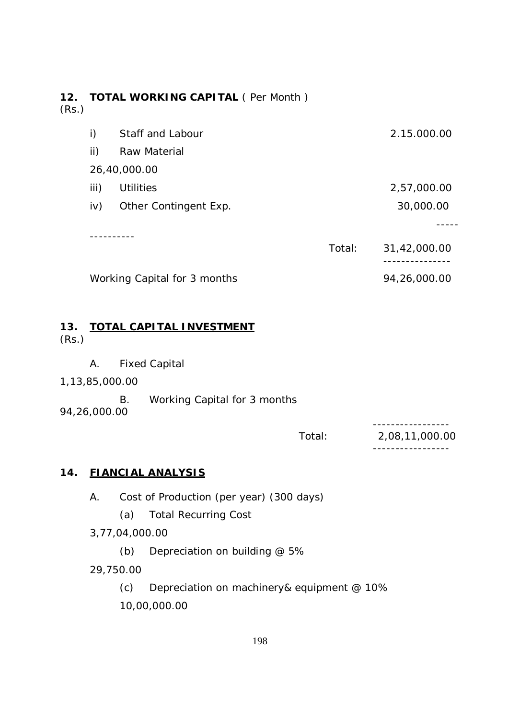# **12. TOTAL WORKING CAPITAL** ( Per Month ) (Rs.)

| i)   | Staff and Labour             |        | 2.15.000.00  |
|------|------------------------------|--------|--------------|
| ii)  | Raw Material                 |        |              |
|      | 26,40,000.00                 |        |              |
| iii) | <b>Utilities</b>             |        | 2,57,000.00  |
| iv)  | Other Contingent Exp.        |        | 30,000.00    |
|      |                              |        |              |
|      |                              | Total: | 31,42,000.00 |
|      | Working Capital for 3 months |        | 94,26,000.00 |

#### **13. TOTAL CAPITAL INVESTMENT** (Rs.)

- A. Fixed Capital
- 1,13,85,000.00

 B. Working Capital for 3 months 94,26,000.00

> ----------------- Total: 2,08,11,000.00 -----------------

# **14. FIANCIAL ANALYSIS**

A. Cost of Production (per year) (300 days)

(a) Total Recurring Cost

3,77,04,000.00

(b) Depreciation on building @ 5%

29,750.00

(c) Depreciation on machinery& equipment @ 10% 10,00,000.00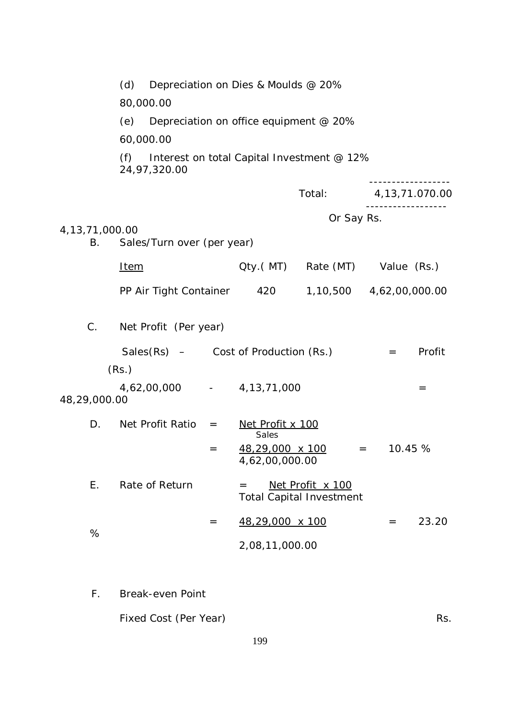|                          | (d)<br>Depreciation on Dies & Moulds @ 20%                       |     |                                          |                                                     |                       |        |
|--------------------------|------------------------------------------------------------------|-----|------------------------------------------|-----------------------------------------------------|-----------------------|--------|
|                          | 80,000.00                                                        |     |                                          |                                                     |                       |        |
|                          | Depreciation on office equipment @ 20%<br>(e)                    |     |                                          |                                                     |                       |        |
|                          | 60,000.00                                                        |     |                                          |                                                     |                       |        |
|                          | (f) Interest on total Capital Investment $@12\%$<br>24,97,320.00 |     |                                          |                                                     |                       |        |
|                          |                                                                  |     |                                          | Total:                                              | 4,13,71.070.00        |        |
|                          |                                                                  |     |                                          | Or Say Rs.                                          |                       |        |
| 4, 13, 71, 000. 00<br>В. | Sales/Turn over (per year)                                       |     |                                          |                                                     |                       |        |
|                          | <u>Item</u>                                                      |     |                                          | Qty.(MT) Rate (MT) Value (Rs.)                      |                       |        |
|                          | PP Air Tight Container 420                                       |     |                                          | 1,10,500 4,62,00,000.00                             |                       |        |
| $C_{\cdot}$              | Net Profit (Per year)                                            |     |                                          |                                                     |                       |        |
|                          | Sales $(Rs)$ – Cost of Production $(Rs.)$                        |     |                                          |                                                     | $=$                   | Profit |
|                          | (Rs.)                                                            |     |                                          |                                                     |                       |        |
| 48,29,000.00             | 4,62,00,000 - 4,13,71,000                                        |     |                                          |                                                     |                       | $=$    |
|                          | $D.$ Net Profit Ratio $=$                                        |     | Net Profit x 100<br>Sales                |                                                     |                       |        |
|                          |                                                                  | $=$ | <u>48,29,000 x 100</u><br>4,62,00,000.00 |                                                     | 10.45 %<br>$=$ $\sim$ |        |
| Ε.                       | Rate of Return                                                   |     | $=$                                      | Net Profit x 100<br><b>Total Capital Investment</b> |                       |        |
| %                        |                                                                  | $=$ | 48,29,000 x 100                          |                                                     | $=$                   | 23.20  |
|                          |                                                                  |     | 2,08,11,000.00                           |                                                     |                       |        |
|                          |                                                                  |     |                                          |                                                     |                       |        |
| $F_{\perp}$              | <b>Break-even Point</b>                                          |     |                                          |                                                     |                       |        |

Fixed Cost (Per Year) Rs.